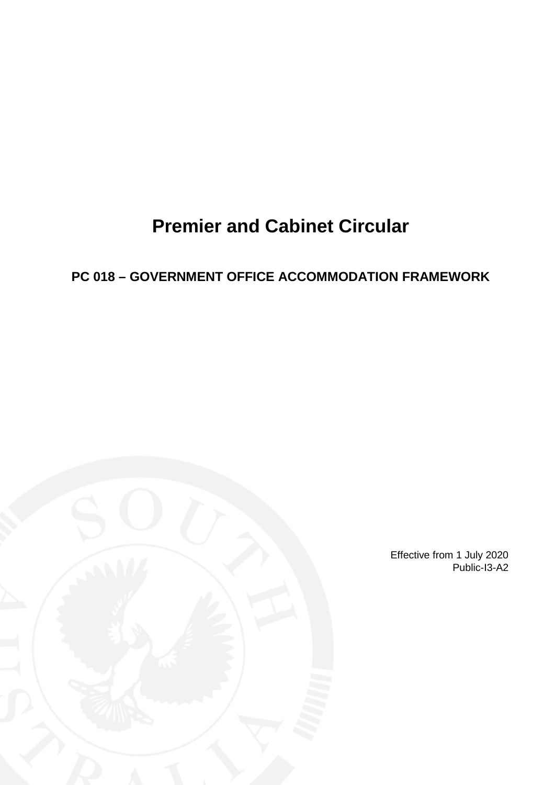# **Premier and Cabinet Circular**

# <span id="page-0-0"></span>**PC 018 – GOVERNMENT OFFICE ACCOMMODATION FRAMEWORK**



Effective from 1 July 2020 Public-I3-A2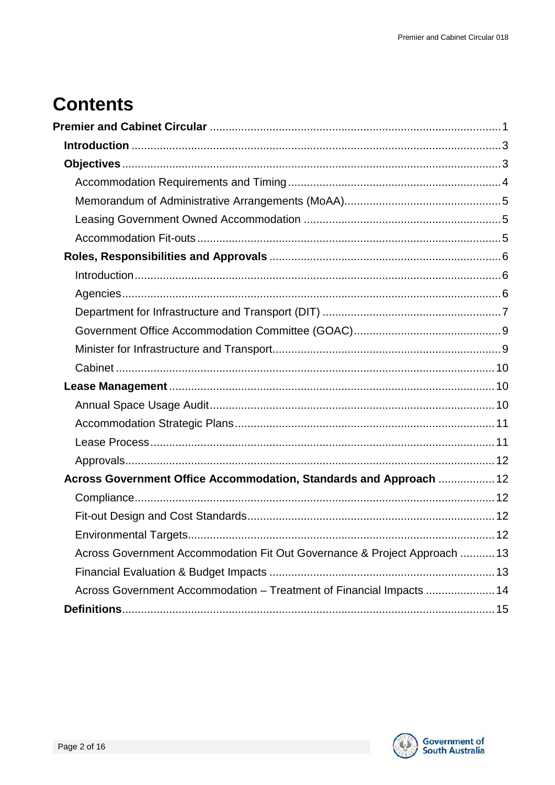# **Contents**

| Across Government Office Accommodation, Standards and Approach  12        |  |
|---------------------------------------------------------------------------|--|
|                                                                           |  |
|                                                                           |  |
| <b>Environmental Targets</b>                                              |  |
| Across Government Accommodation Fit Out Governance & Project Approach  13 |  |
|                                                                           |  |
| Across Government Accommodation - Treatment of Financial Impacts  14      |  |
|                                                                           |  |

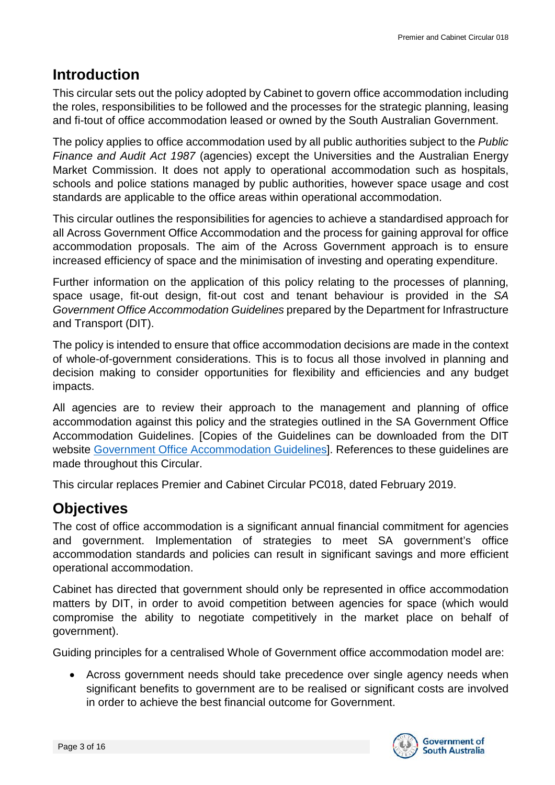# <span id="page-2-0"></span>**Introduction**

This circular sets out the policy adopted by Cabinet to govern office accommodation including the roles, responsibilities to be followed and the processes for the strategic planning, leasing and fi-tout of office accommodation leased or owned by the South Australian Government.

The policy applies to office accommodation used by all public authorities subject to the *Public Finance and Audit Act 1987* (agencies) except the Universities and the Australian Energy Market Commission. It does not apply to operational accommodation such as hospitals, schools and police stations managed by public authorities, however space usage and cost standards are applicable to the office areas within operational accommodation.

This circular outlines the responsibilities for agencies to achieve a standardised approach for all Across Government Office Accommodation and the process for gaining approval for office accommodation proposals. The aim of the Across Government approach is to ensure increased efficiency of space and the minimisation of investing and operating expenditure.

Further information on the application of this policy relating to the processes of planning, space usage, fit-out design, fit-out cost and tenant behaviour is provided in the *SA Government Office Accommodation Guidelines* prepared by the Department for Infrastructure and Transport (DIT).

The policy is intended to ensure that office accommodation decisions are made in the context of whole-of-government considerations. This is to focus all those involved in planning and decision making to consider opportunities for flexibility and efficiencies and any budget impacts.

All agencies are to review their approach to the management and planning of office accommodation against this policy and the strategies outlined in the SA Government Office Accommodation Guidelines. [Copies of the Guidelines can be downloaded from the DIT website [Government Office Accommodation Guidelines\]](https://dpti.sa.gov.au/office_accommodation). References to these guidelines are made throughout this Circular.

This circular replaces Premier and Cabinet Circular PC018, dated February 2019.

# <span id="page-2-1"></span>**Objectives**

The cost of office accommodation is a significant annual financial commitment for agencies and government. Implementation of strategies to meet SA government's office accommodation standards and policies can result in significant savings and more efficient operational accommodation.

Cabinet has directed that government should only be represented in office accommodation matters by DIT, in order to avoid competition between agencies for space (which would compromise the ability to negotiate competitively in the market place on behalf of government).

Guiding principles for a centralised Whole of Government office accommodation model are:

• Across government needs should take precedence over single agency needs when significant benefits to government are to be realised or significant costs are involved in order to achieve the best financial outcome for Government.

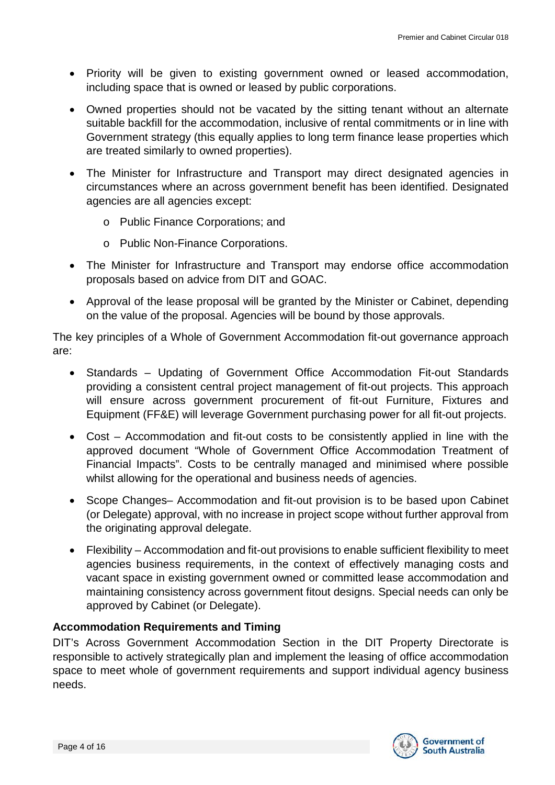- Priority will be given to existing government owned or leased accommodation, including space that is owned or leased by public corporations.
- Owned properties should not be vacated by the sitting tenant without an alternate suitable backfill for the accommodation, inclusive of rental commitments or in line with Government strategy (this equally applies to long term finance lease properties which are treated similarly to owned properties).
- The Minister for Infrastructure and Transport may direct designated agencies in circumstances where an across government benefit has been identified. Designated agencies are all agencies except:
	- o Public Finance Corporations; and
	- o Public Non-Finance Corporations.
- The Minister for Infrastructure and Transport may endorse office accommodation proposals based on advice from DIT and GOAC.
- Approval of the lease proposal will be granted by the Minister or Cabinet, depending on the value of the proposal. Agencies will be bound by those approvals.

The key principles of a Whole of Government Accommodation fit-out governance approach are:

- Standards Updating of Government Office Accommodation Fit-out Standards providing a consistent central project management of fit-out projects. This approach will ensure across government procurement of fit-out Furniture, Fixtures and Equipment (FF&E) will leverage Government purchasing power for all fit-out projects.
- Cost Accommodation and fit-out costs to be consistently applied in line with the approved document "Whole of Government Office Accommodation Treatment of Financial Impacts". Costs to be centrally managed and minimised where possible whilst allowing for the operational and business needs of agencies.
- Scope Changes– Accommodation and fit-out provision is to be based upon Cabinet (or Delegate) approval, with no increase in project scope without further approval from the originating approval delegate.
- Flexibility Accommodation and fit-out provisions to enable sufficient flexibility to meet agencies business requirements, in the context of effectively managing costs and vacant space in existing government owned or committed lease accommodation and maintaining consistency across government fitout designs. Special needs can only be approved by Cabinet (or Delegate).

#### <span id="page-3-0"></span>**Accommodation Requirements and Timing**

DIT's Across Government Accommodation Section in the DIT Property Directorate is responsible to actively strategically plan and implement the leasing of office accommodation space to meet whole of government requirements and support individual agency business needs.

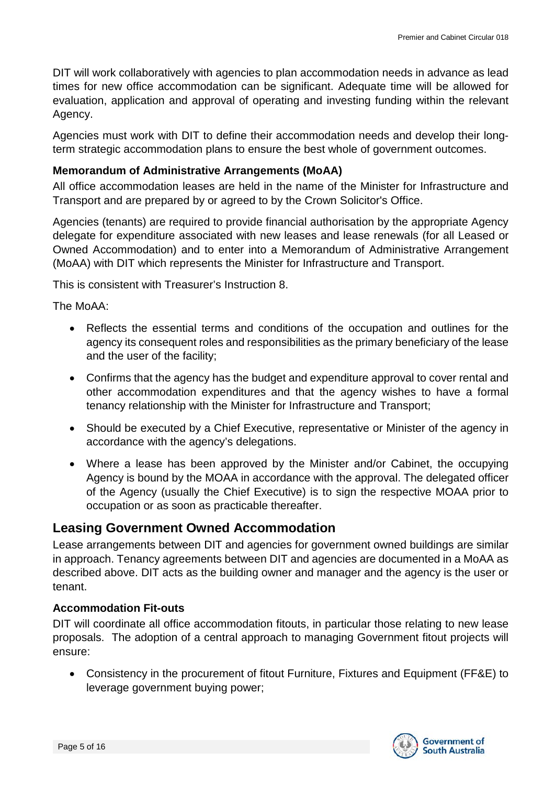DIT will work collaboratively with agencies to plan accommodation needs in advance as lead times for new office accommodation can be significant. Adequate time will be allowed for evaluation, application and approval of operating and investing funding within the relevant Agency.

Agencies must work with DIT to define their accommodation needs and develop their longterm strategic accommodation plans to ensure the best whole of government outcomes.

#### <span id="page-4-0"></span>**Memorandum of Administrative Arrangements (MoAA)**

All office accommodation leases are held in the name of the Minister for Infrastructure and Transport and are prepared by or agreed to by the Crown Solicitor's Office.

Agencies (tenants) are required to provide financial authorisation by the appropriate Agency delegate for expenditure associated with new leases and lease renewals (for all Leased or Owned Accommodation) and to enter into a Memorandum of Administrative Arrangement (MoAA) with DIT which represents the Minister for Infrastructure and Transport.

This is consistent with Treasurer's Instruction 8.

The MoAA:

- Reflects the essential terms and conditions of the occupation and outlines for the agency its consequent roles and responsibilities as the primary beneficiary of the lease and the user of the facility;
- Confirms that the agency has the budget and expenditure approval to cover rental and other accommodation expenditures and that the agency wishes to have a formal tenancy relationship with the Minister for Infrastructure and Transport;
- Should be executed by a Chief Executive, representative or Minister of the agency in accordance with the agency's delegations.
- Where a lease has been approved by the Minister and/or Cabinet, the occupying Agency is bound by the MOAA in accordance with the approval. The delegated officer of the Agency (usually the Chief Executive) is to sign the respective MOAA prior to occupation or as soon as practicable thereafter.

### <span id="page-4-1"></span>**Leasing Government Owned Accommodation**

Lease arrangements between DIT and agencies for government owned buildings are similar in approach. Tenancy agreements between DIT and agencies are documented in a MoAA as described above. DIT acts as the building owner and manager and the agency is the user or tenant.

#### <span id="page-4-2"></span>**Accommodation Fit-outs**

DIT will coordinate all office accommodation fitouts, in particular those relating to new lease proposals. The adoption of a central approach to managing Government fitout projects will ensure:

• Consistency in the procurement of fitout Furniture, Fixtures and Equipment (FF&E) to leverage government buying power;

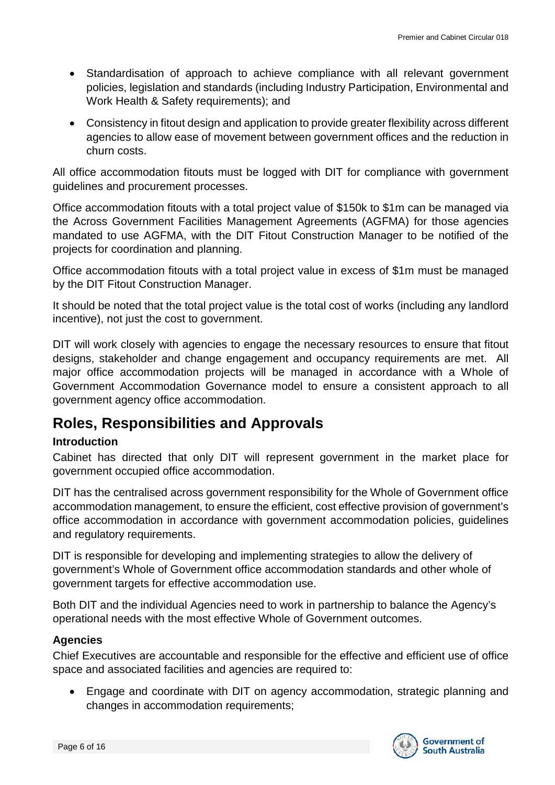- Standardisation of approach to achieve compliance with all relevant government policies, legislation and standards (including Industry Participation, Environmental and Work Health & Safety requirements); and
- Consistency in fitout design and application to provide greater flexibility across different agencies to allow ease of movement between government offices and the reduction in churn costs.

All office accommodation fitouts must be logged with DIT for compliance with government guidelines and procurement processes.

Office accommodation fitouts with a total project value of \$150k to \$1m can be managed via the Across Government Facilities Management Agreements (AGFMA) for those agencies mandated to use AGFMA, with the DIT Fitout Construction Manager to be notified of the projects for coordination and planning.

Office accommodation fitouts with a total project value in excess of \$1m must be managed by the DIT Fitout Construction Manager.

It should be noted that the total project value is the total cost of works (including any landlord incentive), not just the cost to government.

DIT will work closely with agencies to engage the necessary resources to ensure that fitout designs, stakeholder and change engagement and occupancy requirements are met. All major office accommodation projects will be managed in accordance with a Whole of Government Accommodation Governance model to ensure a consistent approach to all government agency office accommodation.

## <span id="page-5-0"></span>**Roles, Responsibilities and Approvals**

#### <span id="page-5-1"></span>**Introduction**

Cabinet has directed that only DIT will represent government in the market place for government occupied office accommodation.

DIT has the centralised across government responsibility for the Whole of Government office accommodation management, to ensure the efficient, cost effective provision of government's office accommodation in accordance with government accommodation policies, guidelines and regulatory requirements.

DIT is responsible for developing and implementing strategies to allow the delivery of government's Whole of Government office accommodation standards and other whole of government targets for effective accommodation use.

Both DIT and the individual Agencies need to work in partnership to balance the Agency's operational needs with the most effective Whole of Government outcomes.

#### <span id="page-5-2"></span>**Agencies**

Chief Executives are accountable and responsible for the effective and efficient use of office space and associated facilities and agencies are required to:

• Engage and coordinate with DIT on agency accommodation, strategic planning and changes in accommodation requirements;

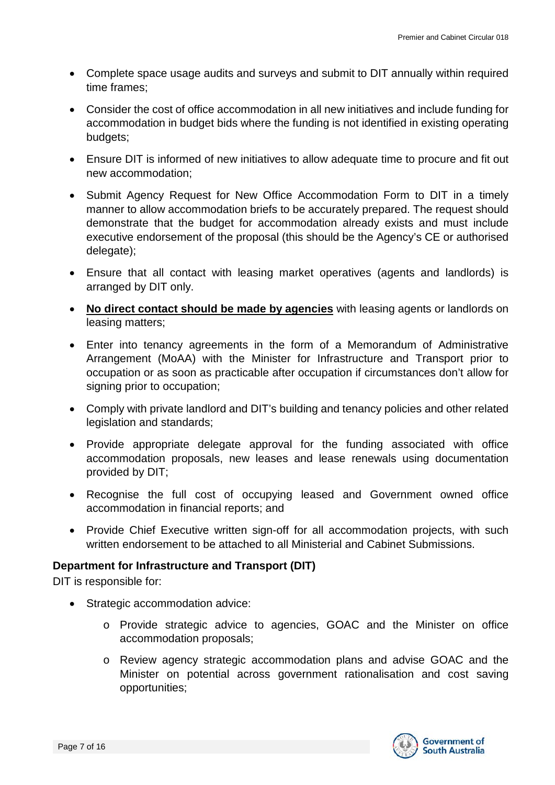- Complete space usage audits and surveys and submit to DIT annually within required time frames;
- Consider the cost of office accommodation in all new initiatives and include funding for accommodation in budget bids where the funding is not identified in existing operating budgets;
- Ensure DIT is informed of new initiatives to allow adequate time to procure and fit out new accommodation;
- Submit Agency Request for New Office Accommodation Form to DIT in a timely manner to allow accommodation briefs to be accurately prepared. The request should demonstrate that the budget for accommodation already exists and must include executive endorsement of the proposal (this should be the Agency's CE or authorised delegate);
- Ensure that all contact with leasing market operatives (agents and landlords) is arranged by DIT only.
- **No direct contact should be made by agencies** with leasing agents or landlords on leasing matters;
- Enter into tenancy agreements in the form of a Memorandum of Administrative Arrangement (MoAA) with the Minister for Infrastructure and Transport prior to occupation or as soon as practicable after occupation if circumstances don't allow for signing prior to occupation:
- Comply with private landlord and DIT's building and tenancy policies and other related legislation and standards;
- Provide appropriate delegate approval for the funding associated with office accommodation proposals, new leases and lease renewals using documentation provided by DIT;
- Recognise the full cost of occupying leased and Government owned office accommodation in financial reports; and
- Provide Chief Executive written sign-off for all accommodation projects, with such written endorsement to be attached to all Ministerial and Cabinet Submissions.

#### <span id="page-6-0"></span>**Department for Infrastructure and Transport (DIT)**

DIT is responsible for:

- Strategic accommodation advice:
	- o Provide strategic advice to agencies, GOAC and the Minister on office accommodation proposals;
	- o Review agency strategic accommodation plans and advise GOAC and the Minister on potential across government rationalisation and cost saving opportunities;

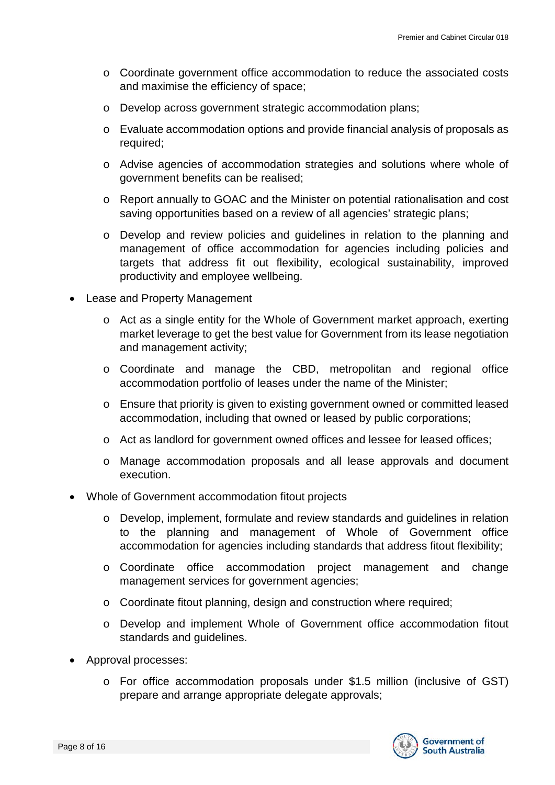- o Coordinate government office accommodation to reduce the associated costs and maximise the efficiency of space;
- o Develop across government strategic accommodation plans;
- o Evaluate accommodation options and provide financial analysis of proposals as required;
- o Advise agencies of accommodation strategies and solutions where whole of government benefits can be realised;
- o Report annually to GOAC and the Minister on potential rationalisation and cost saving opportunities based on a review of all agencies' strategic plans;
- o Develop and review policies and guidelines in relation to the planning and management of office accommodation for agencies including policies and targets that address fit out flexibility, ecological sustainability, improved productivity and employee wellbeing.
- Lease and Property Management
	- o Act as a single entity for the Whole of Government market approach, exerting market leverage to get the best value for Government from its lease negotiation and management activity;
	- o Coordinate and manage the CBD, metropolitan and regional office accommodation portfolio of leases under the name of the Minister;
	- o Ensure that priority is given to existing government owned or committed leased accommodation, including that owned or leased by public corporations;
	- o Act as landlord for government owned offices and lessee for leased offices;
	- o Manage accommodation proposals and all lease approvals and document execution.
- Whole of Government accommodation fitout projects
	- o Develop, implement, formulate and review standards and guidelines in relation to the planning and management of Whole of Government office accommodation for agencies including standards that address fitout flexibility;
	- o Coordinate office accommodation project management and change management services for government agencies;
	- o Coordinate fitout planning, design and construction where required;
	- o Develop and implement Whole of Government office accommodation fitout standards and guidelines.
- Approval processes:
	- o For office accommodation proposals under \$1.5 million (inclusive of GST) prepare and arrange appropriate delegate approvals;

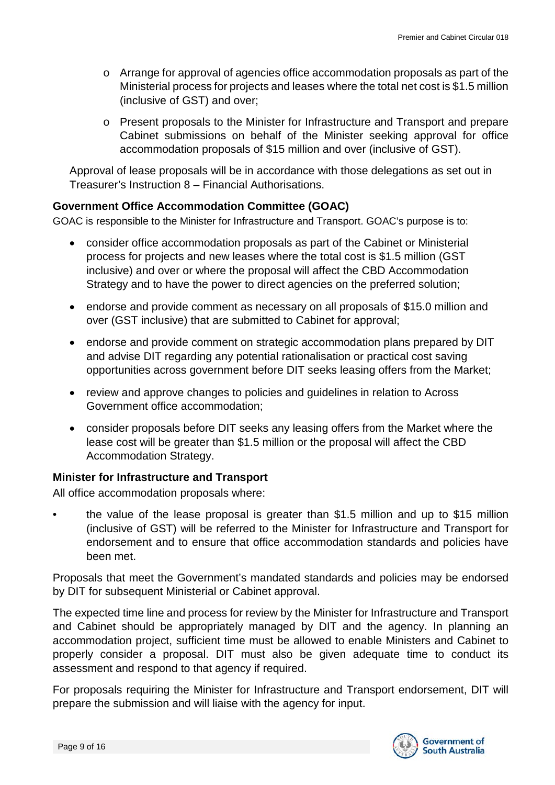- o Arrange for approval of agencies office accommodation proposals as part of the Ministerial process for projects and leases where the total net cost is \$1.5 million (inclusive of GST) and over;
- o Present proposals to the Minister for Infrastructure and Transport and prepare Cabinet submissions on behalf of the Minister seeking approval for office accommodation proposals of \$15 million and over (inclusive of GST).

Approval of lease proposals will be in accordance with those delegations as set out in Treasurer's Instruction 8 – Financial Authorisations.

#### <span id="page-8-0"></span>**Government Office Accommodation Committee (GOAC)**

GOAC is responsible to the Minister for Infrastructure and Transport. GOAC's purpose is to:

- consider office accommodation proposals as part of the Cabinet or Ministerial process for projects and new leases where the total cost is \$1.5 million (GST inclusive) and over or where the proposal will affect the CBD Accommodation Strategy and to have the power to direct agencies on the preferred solution;
- endorse and provide comment as necessary on all proposals of \$15.0 million and over (GST inclusive) that are submitted to Cabinet for approval;
- endorse and provide comment on strategic accommodation plans prepared by DIT and advise DIT regarding any potential rationalisation or practical cost saving opportunities across government before DIT seeks leasing offers from the Market;
- review and approve changes to policies and guidelines in relation to Across Government office accommodation;
- consider proposals before DIT seeks any leasing offers from the Market where the lease cost will be greater than \$1.5 million or the proposal will affect the CBD Accommodation Strategy.

#### <span id="page-8-1"></span>**Minister for Infrastructure and Transport**

All office accommodation proposals where:

• the value of the lease proposal is greater than \$1.5 million and up to \$15 million (inclusive of GST) will be referred to the Minister for Infrastructure and Transport for endorsement and to ensure that office accommodation standards and policies have been met.

Proposals that meet the Government's mandated standards and policies may be endorsed by DIT for subsequent Ministerial or Cabinet approval.

The expected time line and process for review by the Minister for Infrastructure and Transport and Cabinet should be appropriately managed by DIT and the agency. In planning an accommodation project, sufficient time must be allowed to enable Ministers and Cabinet to properly consider a proposal. DIT must also be given adequate time to conduct its assessment and respond to that agency if required.

For proposals requiring the Minister for Infrastructure and Transport endorsement, DIT will prepare the submission and will liaise with the agency for input.

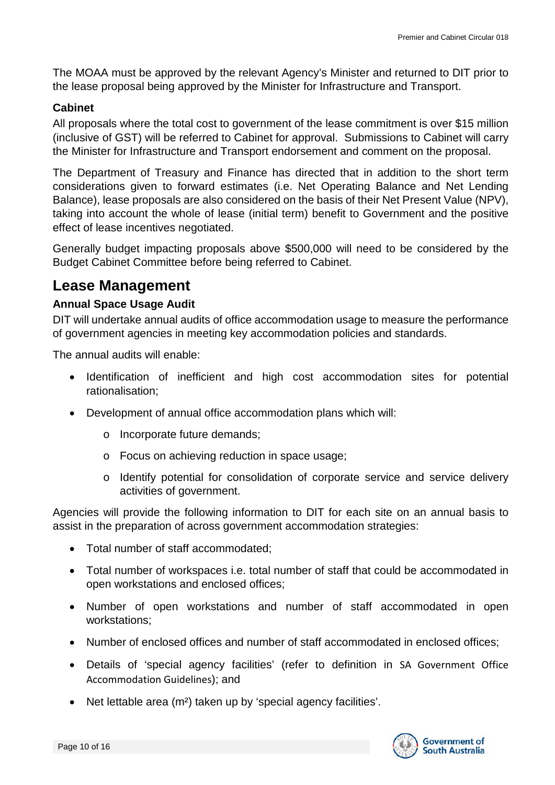The MOAA must be approved by the relevant Agency's Minister and returned to DIT prior to the lease proposal being approved by the Minister for Infrastructure and Transport.

#### <span id="page-9-0"></span>**Cabinet**

All proposals where the total cost to government of the lease commitment is over \$15 million (inclusive of GST) will be referred to Cabinet for approval. Submissions to Cabinet will carry the Minister for Infrastructure and Transport endorsement and comment on the proposal.

The Department of Treasury and Finance has directed that in addition to the short term considerations given to forward estimates (i.e. Net Operating Balance and Net Lending Balance), lease proposals are also considered on the basis of their Net Present Value (NPV), taking into account the whole of lease (initial term) benefit to Government and the positive effect of lease incentives negotiated.

Generally budget impacting proposals above \$500,000 will need to be considered by the Budget Cabinet Committee before being referred to Cabinet.

### <span id="page-9-1"></span>**Lease Management**

#### <span id="page-9-2"></span>**Annual Space Usage Audit**

DIT will undertake annual audits of office accommodation usage to measure the performance of government agencies in meeting key accommodation policies and standards.

The annual audits will enable:

- Identification of inefficient and high cost accommodation sites for potential rationalisation;
- Development of annual office accommodation plans which will:
	- o Incorporate future demands;
	- o Focus on achieving reduction in space usage;
	- o Identify potential for consolidation of corporate service and service delivery activities of government.

Agencies will provide the following information to DIT for each site on an annual basis to assist in the preparation of across government accommodation strategies:

- Total number of staff accommodated;
- Total number of workspaces i.e. total number of staff that could be accommodated in open workstations and enclosed offices;
- Number of open workstations and number of staff accommodated in open workstations;
- Number of enclosed offices and number of staff accommodated in enclosed offices;
- Details of 'special agency facilities' (refer to definition in SA Government Office Accommodation Guidelines); and
- Net lettable area (m²) taken up by 'special agency facilities'.

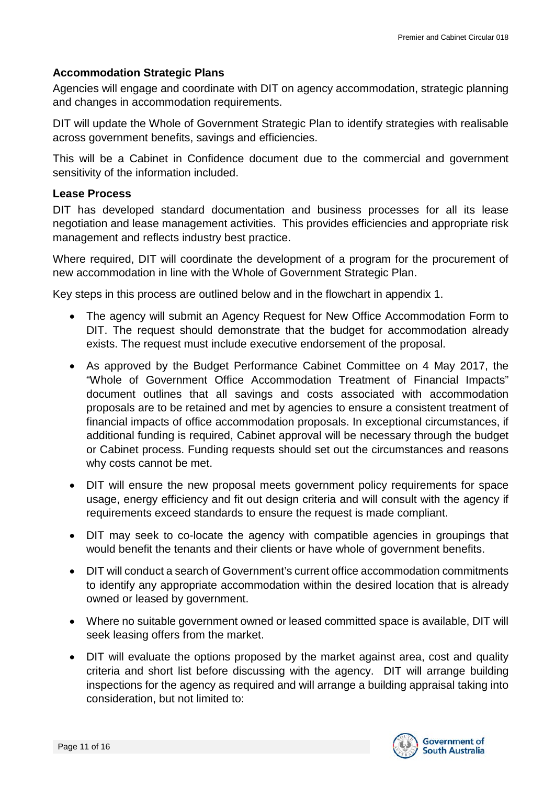#### <span id="page-10-0"></span>**Accommodation Strategic Plans**

Agencies will engage and coordinate with DIT on agency accommodation, strategic planning and changes in accommodation requirements.

DIT will update the Whole of Government Strategic Plan to identify strategies with realisable across government benefits, savings and efficiencies.

This will be a Cabinet in Confidence document due to the commercial and government sensitivity of the information included.

#### <span id="page-10-1"></span>**Lease Process**

DIT has developed standard documentation and business processes for all its lease negotiation and lease management activities. This provides efficiencies and appropriate risk management and reflects industry best practice.

Where required, DIT will coordinate the development of a program for the procurement of new accommodation in line with the Whole of Government Strategic Plan.

Key steps in this process are outlined below and in the flowchart in appendix 1.

- The agency will submit an Agency Request for New Office Accommodation Form to DIT. The request should demonstrate that the budget for accommodation already exists. The request must include executive endorsement of the proposal.
- As approved by the Budget Performance Cabinet Committee on 4 May 2017, the "Whole of Government Office Accommodation Treatment of Financial Impacts" document outlines that all savings and costs associated with accommodation proposals are to be retained and met by agencies to ensure a consistent treatment of financial impacts of office accommodation proposals. In exceptional circumstances, if additional funding is required, Cabinet approval will be necessary through the budget or Cabinet process. Funding requests should set out the circumstances and reasons why costs cannot be met.
- DIT will ensure the new proposal meets government policy requirements for space usage, energy efficiency and fit out design criteria and will consult with the agency if requirements exceed standards to ensure the request is made compliant.
- DIT may seek to co-locate the agency with compatible agencies in groupings that would benefit the tenants and their clients or have whole of government benefits.
- DIT will conduct a search of Government's current office accommodation commitments to identify any appropriate accommodation within the desired location that is already owned or leased by government.
- Where no suitable government owned or leased committed space is available, DIT will seek leasing offers from the market.
- DIT will evaluate the options proposed by the market against area, cost and quality criteria and short list before discussing with the agency. DIT will arrange building inspections for the agency as required and will arrange a building appraisal taking into consideration, but not limited to:

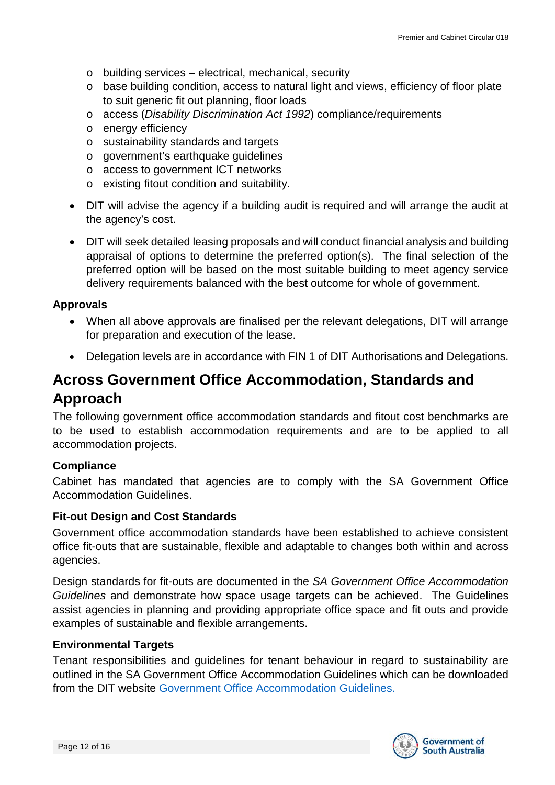- o building services electrical, mechanical, security
- o base building condition, access to natural light and views, efficiency of floor plate to suit generic fit out planning, floor loads
- o access (*Disability Discrimination Act 1992*) compliance/requirements
- o energy efficiency
- o sustainability standards and targets
- o government's earthquake guidelines
- o access to government ICT networks
- o existing fitout condition and suitability.
- DIT will advise the agency if a building audit is required and will arrange the audit at the agency's cost.
- DIT will seek detailed leasing proposals and will conduct financial analysis and building appraisal of options to determine the preferred option(s). The final selection of the preferred option will be based on the most suitable building to meet agency service delivery requirements balanced with the best outcome for whole of government.

#### <span id="page-11-0"></span>**Approvals**

- When all above approvals are finalised per the relevant delegations, DIT will arrange for preparation and execution of the lease.
- Delegation levels are in accordance with FIN 1 of DIT Authorisations and Delegations.

# <span id="page-11-1"></span>**Across Government Office Accommodation, Standards and Approach**

The following government office accommodation standards and fitout cost benchmarks are to be used to establish accommodation requirements and are to be applied to all accommodation projects.

#### <span id="page-11-2"></span>**Compliance**

Cabinet has mandated that agencies are to comply with the SA Government Office Accommodation Guidelines.

#### <span id="page-11-3"></span>**Fit-out Design and Cost Standards**

Government office accommodation standards have been established to achieve consistent office fit-outs that are sustainable, flexible and adaptable to changes both within and across agencies.

Design standards for fit-outs are documented in the *SA Government Office Accommodation Guidelines* and demonstrate how space usage targets can be achieved. The Guidelines assist agencies in planning and providing appropriate office space and fit outs and provide examples of sustainable and flexible arrangements.

#### <span id="page-11-4"></span>**Environmental Targets**

Tenant responsibilities and guidelines for tenant behaviour in regard to sustainability are outlined in the SA Government Office Accommodation Guidelines which can be downloaded from the DIT website [Government Office Accommodation Guidelines.](https://dpti.sa.gov.au/office_accommodation)

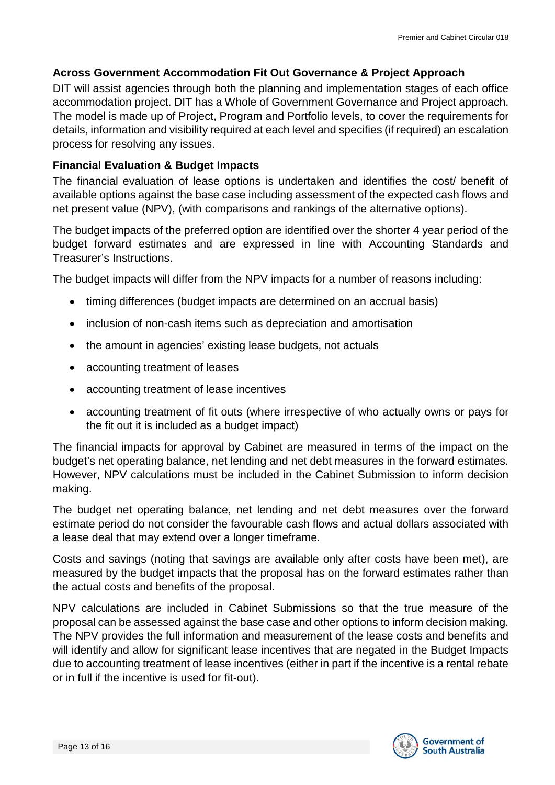#### <span id="page-12-0"></span>**Across Government Accommodation Fit Out Governance & Project Approach**

DIT will assist agencies through both the planning and implementation stages of each office accommodation project. DIT has a Whole of Government Governance and Project approach. The model is made up of Project, Program and Portfolio levels, to cover the requirements for details, information and visibility required at each level and specifies (if required) an escalation process for resolving any issues.

#### <span id="page-12-1"></span>**Financial Evaluation & Budget Impacts**

The financial evaluation of lease options is undertaken and identifies the cost/ benefit of available options against the base case including assessment of the expected cash flows and net present value (NPV), (with comparisons and rankings of the alternative options).

The budget impacts of the preferred option are identified over the shorter 4 year period of the budget forward estimates and are expressed in line with Accounting Standards and Treasurer's Instructions.

The budget impacts will differ from the NPV impacts for a number of reasons including:

- timing differences (budget impacts are determined on an accrual basis)
- inclusion of non-cash items such as depreciation and amortisation
- the amount in agencies' existing lease budgets, not actuals
- accounting treatment of leases
- accounting treatment of lease incentives
- accounting treatment of fit outs (where irrespective of who actually owns or pays for the fit out it is included as a budget impact)

The financial impacts for approval by Cabinet are measured in terms of the impact on the budget's net operating balance, net lending and net debt measures in the forward estimates. However, NPV calculations must be included in the Cabinet Submission to inform decision making.

The budget net operating balance, net lending and net debt measures over the forward estimate period do not consider the favourable cash flows and actual dollars associated with a lease deal that may extend over a longer timeframe.

Costs and savings (noting that savings are available only after costs have been met), are measured by the budget impacts that the proposal has on the forward estimates rather than the actual costs and benefits of the proposal.

NPV calculations are included in Cabinet Submissions so that the true measure of the proposal can be assessed against the base case and other options to inform decision making. The NPV provides the full information and measurement of the lease costs and benefits and will identify and allow for significant lease incentives that are negated in the Budget Impacts due to accounting treatment of lease incentives (either in part if the incentive is a rental rebate or in full if the incentive is used for fit-out).

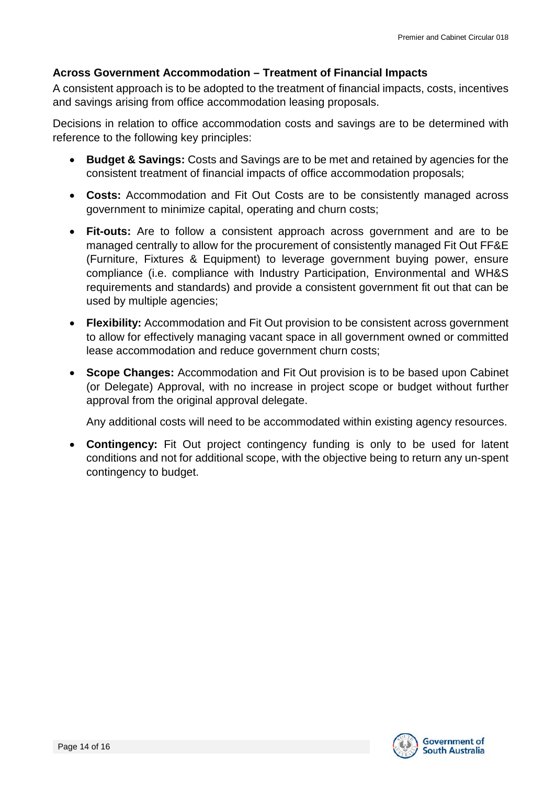#### <span id="page-13-0"></span>**Across Government Accommodation – Treatment of Financial Impacts**

A consistent approach is to be adopted to the treatment of financial impacts, costs, incentives and savings arising from office accommodation leasing proposals.

Decisions in relation to office accommodation costs and savings are to be determined with reference to the following key principles:

- **Budget & Savings:** Costs and Savings are to be met and retained by agencies for the consistent treatment of financial impacts of office accommodation proposals;
- **Costs:** Accommodation and Fit Out Costs are to be consistently managed across government to minimize capital, operating and churn costs;
- **Fit-outs:** Are to follow a consistent approach across government and are to be managed centrally to allow for the procurement of consistently managed Fit Out FF&E (Furniture, Fixtures & Equipment) to leverage government buying power, ensure compliance (i.e. compliance with Industry Participation, Environmental and WH&S requirements and standards) and provide a consistent government fit out that can be used by multiple agencies;
- **Flexibility:** Accommodation and Fit Out provision to be consistent across government to allow for effectively managing vacant space in all government owned or committed lease accommodation and reduce government churn costs;
- **Scope Changes:** Accommodation and Fit Out provision is to be based upon Cabinet (or Delegate) Approval, with no increase in project scope or budget without further approval from the original approval delegate.

Any additional costs will need to be accommodated within existing agency resources.

• **Contingency:** Fit Out project contingency funding is only to be used for latent conditions and not for additional scope, with the objective being to return any un-spent contingency to budget.

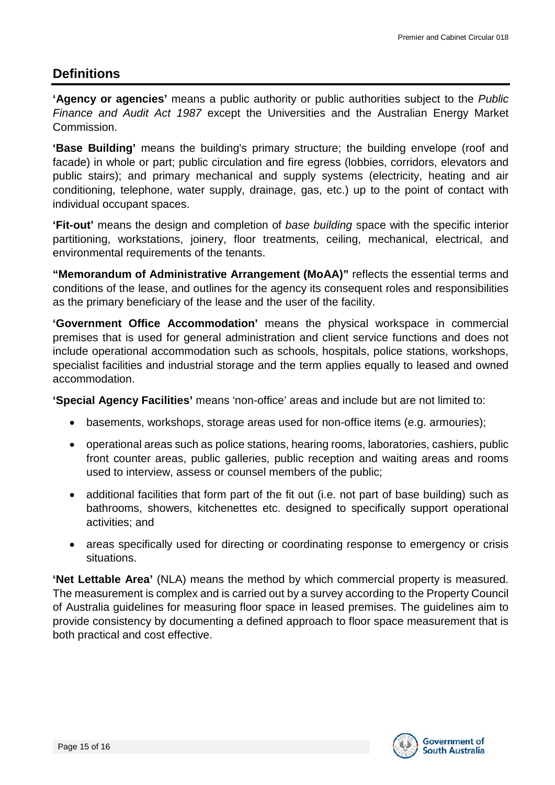### <span id="page-14-0"></span>**Definitions**

**'Agency or agencies'** means a public authority or public authorities subject to the *Public Finance and Audit Act 1987* except the Universities and the Australian Energy Market **Commission** 

**'Base Building'** means the building's primary structure; the building envelope (roof and facade) in whole or part; public circulation and fire egress (lobbies, corridors, elevators and public stairs); and primary mechanical and supply systems (electricity, heating and air conditioning, telephone, water supply, drainage, gas, etc.) up to the point of contact with individual occupant spaces.

**'Fit-out'** means the design and completion of *base building* space with the specific interior partitioning, workstations, joinery, floor treatments, ceiling, mechanical, electrical, and environmental requirements of the tenants.

**"Memorandum of Administrative Arrangement (MoAA)"** reflects the essential terms and conditions of the lease, and outlines for the agency its consequent roles and responsibilities as the primary beneficiary of the lease and the user of the facility.

**'Government Office Accommodation'** means the physical workspace in commercial premises that is used for general administration and client service functions and does not include operational accommodation such as schools, hospitals, police stations, workshops, specialist facilities and industrial storage and the term applies equally to leased and owned accommodation.

**'Special Agency Facilities'** means 'non-office' areas and include but are not limited to:

- basements, workshops, storage areas used for non-office items (e.g. armouries);
- operational areas such as police stations, hearing rooms, laboratories, cashiers, public front counter areas, public galleries, public reception and waiting areas and rooms used to interview, assess or counsel members of the public;
- additional facilities that form part of the fit out (i.e. not part of base building) such as bathrooms, showers, kitchenettes etc. designed to specifically support operational activities; and
- areas specifically used for directing or coordinating response to emergency or crisis situations.

**'Net Lettable Area'** (NLA) means the method by which commercial property is measured. The measurement is complex and is carried out by a survey according to the Property Council of Australia guidelines for measuring floor space in leased premises. The guidelines aim to provide consistency by documenting a defined approach to floor space measurement that is both practical and cost effective.